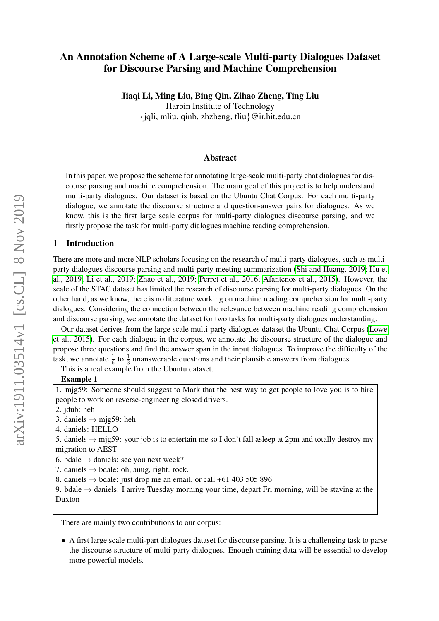# An Annotation Scheme of A Large-scale Multi-party Dialogues Dataset for Discourse Parsing and Machine Comprehension

#### Jiaqi Li, Ming Liu, Bing Qin, Zihao Zheng, Ting Liu

Harbin Institute of Technology {jqli, mliu, qinb, zhzheng, tliu}@ir.hit.edu.cn

#### Abstract

In this paper, we propose the scheme for annotating large-scale multi-party chat dialogues for discourse parsing and machine comprehension. The main goal of this project is to help understand multi-party dialogues. Our dataset is based on the Ubuntu Chat Corpus. For each multi-party dialogue, we annotate the discourse structure and question-answer pairs for dialogues. As we know, this is the first large scale corpus for multi-party dialogues discourse parsing, and we firstly propose the task for multi-party dialogues machine reading comprehension.

#### 1 Introduction

There are more and more NLP scholars focusing on the research of multi-party dialogues, such as multiparty dialogues discourse parsing and multi-party meeting summarization [\(Shi and Huang, 2019;](#page-4-0) [Hu et](#page-3-0) [al., 2019;](#page-3-0) [Li et al., 2019;](#page-4-1) [Zhao et al., 2019;](#page-4-2) [Perret et al., 2016;](#page-4-3) [Afantenos et al., 2015\)](#page-3-1). However, the scale of the STAC dataset has limited the research of discourse parsing for multi-party dialogues. On the other hand, as we know, there is no literature working on machine reading comprehension for multi-party dialogues. Considering the connection between the relevance between machine reading comprehension and discourse parsing, we annotate the dataset for two tasks for multi-party dialogues understanding.

Our dataset derives from the large scale multi-party dialogues dataset the Ubuntu Chat Corpus [\(Lowe](#page-4-4) [et al., 2015\)](#page-4-4). For each dialogue in the corpus, we annotate the discourse structure of the dialogue and propose three questions and find the answer span in the input dialogues. To improve the difficulty of the task, we annotate  $\frac{1}{6}$  to  $\frac{1}{3}$  unanswerable questions and their plausible answers from dialogues.

This is a real example from the Ubuntu dataset.

#### Example 1

1. mjg59: Someone should suggest to Mark that the best way to get people to love you is to hire people to work on reverse-engineering closed drivers.

2. jdub: heh

3. daniels  $\rightarrow$  mjg59: heh

- 4. daniels: HELLO
- 5. daniels  $\rightarrow$  mjg59: your job is to entertain me so I don't fall asleep at 2pm and totally destroy my migration to AEST
- 6. bdale  $\rightarrow$  daniels: see you next week?
- 7. daniels  $\rightarrow$  bdale: oh, auug, right. rock.
- 8. daniels  $\rightarrow$  bdale: just drop me an email, or call +61 403 505 896

9. bdale  $\rightarrow$  daniels: I arrive Tuesday morning your time, depart Fri morning, will be staying at the Duxton

There are mainly two contributions to our corpus:

• A first large scale multi-part dialogues dataset for discourse parsing. It is a challenging task to parse the discourse structure of multi-party dialogues. Enough training data will be essential to develop more powerful models.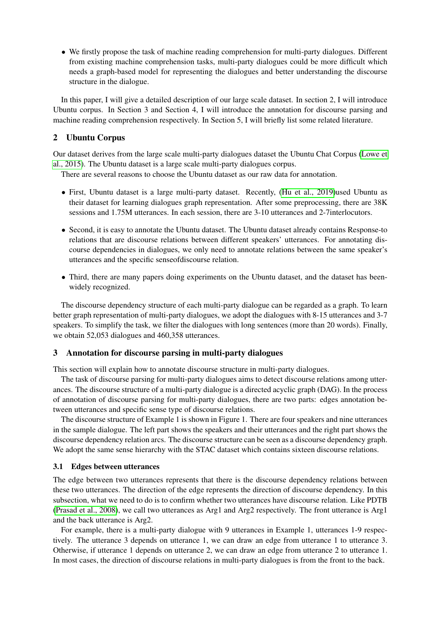• We firstly propose the task of machine reading comprehension for multi-party dialogues. Different from existing machine comprehension tasks, multi-party dialogues could be more difficult which needs a graph-based model for representing the dialogues and better understanding the discourse structure in the dialogue.

In this paper, I will give a detailed description of our large scale dataset. In section 2, I will introduce Ubuntu corpus. In Section 3 and Section 4, I will introduce the annotation for discourse parsing and machine reading comprehension respectively. In Section 5, I will briefly list some related literature.

### 2 Ubuntu Corpus

Our dataset derives from the large scale multi-party dialogues dataset the Ubuntu Chat Corpus [\(Lowe et](#page-4-4) [al., 2015\)](#page-4-4). The Ubuntu dataset is a large scale multi-party dialogues corpus.

There are several reasons to choose the Ubuntu dataset as our raw data for annotation.

- First, Ubuntu dataset is a large multi-party dataset. Recently, [\(Hu et al., 2019\)](#page-3-0)used Ubuntu as their dataset for learning dialogues graph representation. After some preprocessing, there are 38K sessions and 1.75M utterances. In each session, there are 3-10 utterances and 2-7interlocutors.
- Second, it is easy to annotate the Ubuntu dataset. The Ubuntu dataset already contains Response-to relations that are discourse relations between different speakers' utterances. For annotating discourse dependencies in dialogues, we only need to annotate relations between the same speaker's utterances and the specific senseofdiscourse relation.
- Third, there are many papers doing experiments on the Ubuntu dataset, and the dataset has beenwidely recognized.

The discourse dependency structure of each multi-party dialogue can be regarded as a graph. To learn better graph representation of multi-party dialogues, we adopt the dialogues with 8-15 utterances and 3-7 speakers. To simplify the task, we filter the dialogues with long sentences (more than 20 words). Finally, we obtain 52,053 dialogues and 460,358 utterances.

### 3 Annotation for discourse parsing in multi-party dialogues

This section will explain how to annotate discourse structure in multi-party dialogues.

The task of discourse parsing for multi-party dialogues aims to detect discourse relations among utterances. The discourse structure of a multi-party dialogue is a directed acyclic graph (DAG). In the process of annotation of discourse parsing for multi-party dialogues, there are two parts: edges annotation between utterances and specific sense type of discourse relations.

The discourse structure of Example 1 is shown in Figure 1. There are four speakers and nine utterances in the sample dialogue. The left part shows the speakers and their utterances and the right part shows the discourse dependency relation arcs. The discourse structure can be seen as a discourse dependency graph. We adopt the same sense hierarchy with the STAC dataset which contains sixteen discourse relations.

### 3.1 Edges between utterances

The edge between two utterances represents that there is the discourse dependency relations between these two utterances. The direction of the edge represents the direction of discourse dependency. In this subsection, what we need to do is to confirm whether two utterances have discourse relation. Like PDTB [\(Prasad et al., 2008\)](#page-4-5), we call two utterances as Arg1 and Arg2 respectively. The front utterance is Arg1 and the back utterance is Arg2.

For example, there is a multi-party dialogue with 9 utterances in Example 1, utterances 1-9 respectively. The utterance 3 depends on utterance 1, we can draw an edge from utterance 1 to utterance 3. Otherwise, if utterance 1 depends on utterance 2, we can draw an edge from utterance 2 to utterance 1. In most cases, the direction of discourse relations in multi-party dialogues is from the front to the back.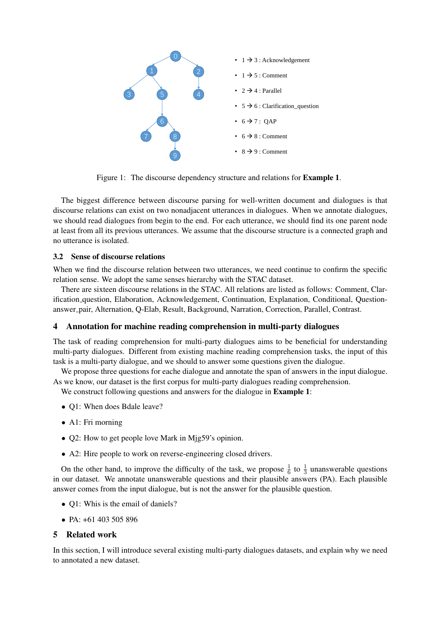

Figure 1: The discourse dependency structure and relations for Example 1.

The biggest difference between discourse parsing for well-written document and dialogues is that discourse relations can exist on two nonadjacent utterances in dialogues. When we annotate dialogues, we should read dialogues from begin to the end. For each utterance, we should find its one parent node at least from all its previous utterances. We assume that the discourse structure is a connected graph and no utterance is isolated.

### 3.2 Sense of discourse relations

When we find the discourse relation between two utterances, we need continue to confirm the specific relation sense. We adopt the same senses hierarchy with the STAC dataset.

There are sixteen discourse relations in the STAC. All relations are listed as follows: Comment, Clarification question, Elaboration, Acknowledgement, Continuation, Explanation, Conditional, Questionanswer pair, Alternation, Q-Elab, Result, Background, Narration, Correction, Parallel, Contrast.

### 4 Annotation for machine reading comprehension in multi-party dialogues

The task of reading comprehension for multi-party dialogues aims to be beneficial for understanding multi-party dialogues. Different from existing machine reading comprehension tasks, the input of this task is a multi-party dialogue, and we should to answer some questions given the dialogue.

We propose three questions for eache dialogue and annotate the span of answers in the input dialogue. As we know, our dataset is the first corpus for multi-party dialogues reading comprehension.

We construct following questions and answers for the dialogue in **Example 1**:

- Q1: When does Bdale leave?
- A1: Fri morning
- Q2: How to get people love Mark in Mig59's opinion.
- A2: Hire people to work on reverse-engineering closed drivers.

On the other hand, to improve the difficulty of the task, we propose  $\frac{1}{6}$  to  $\frac{1}{3}$  unanswerable questions in our dataset. We annotate unanswerable questions and their plausible answers (PA). Each plausible answer comes from the input dialogue, but is not the answer for the plausible question.

- Q1: Whis is the email of daniels?
- PA:  $+61,403,505,896$

### 5 Related work

In this section, I will introduce several existing multi-party dialogues datasets, and explain why we need to annotated a new dataset.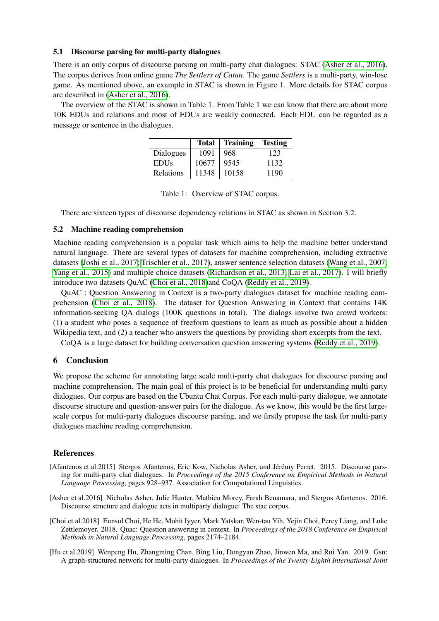#### 5.1 Discourse parsing for multi-party dialogues

There is an only corpus of discourse parsing on multi-party chat dialogues: STAC [\(Asher et al., 2016\)](#page-3-2). The corpus derives from online game *The Settlers of Catan*. The game *Settlers* is a multi-party, win-lose game. As mentioned above, an example in STAC is shown in Figure 1. More details for STAC corpus are described in [\(Asher et al., 2016\)](#page-3-2).

The overview of the STAC is shown in Table 1. From Table 1 we can know that there are about more 10K EDUs and relations and most of EDUs are weakly connected. Each EDU can be regarded as a message or sentence in the dialogues.

|             | <b>Total</b> | <b>Training</b> | <b>Testing</b> |
|-------------|--------------|-----------------|----------------|
| Dialogues   | 1091         | 968             | 123            |
| <b>EDUs</b> | 10677        | 9545            | 1132           |
| Relations   | 11348        | 10158           | 1190           |

Table 1: Overview of STAC corpus.

There are sixteen types of discourse dependency relations in STAC as shown in Section 3.2.

#### 5.2 Machine reading comprehension

Machine reading comprehension is a popular task which aims to help the machine better understand natural language. There are several types of datasets for machine comprehension, including extractive datasets [\(Joshi et al., 2017;](#page-4-6) [Trischler et al., 2017\)](#page-4-7), answer sentence selection datasets [\(Wang et al., 2007;](#page-4-8) [Yang et al., 2015\)](#page-4-9) and multiple choice datasets [\(Richardson et al., 2013;](#page-4-10) [Lai et al., 2017\)](#page-4-11). I will briefly introduce two datasets QuAC [\(Choi et al., 2018\)](#page-3-3)and CoQA [\(Reddy et al., 2019\)](#page-4-12).

QuAC : Question Answering in Context is a two-party dialogues dataset for machine reading comprehension [\(Choi et al., 2018\)](#page-3-3). The dataset for Question Answering in Context that contains 14K information-seeking QA dialogs (100K questions in total). The dialogs involve two crowd workers: (1) a student who poses a sequence of freeform questions to learn as much as possible about a hidden Wikipedia text, and (2) a teacher who answers the questions by providing short excerpts from the text.

CoQA is a large dataset for building conversation question answering systems [\(Reddy et al., 2019\)](#page-4-12).

### 6 Conclusion

We propose the scheme for annotating large scale multi-party chat dialogues for discourse parsing and machine comprehension. The main goal of this project is to be beneficial for understanding multi-party dialogues. Our corpus are based on the Ubuntu Chat Corpus. For each multi-party dialogue, we annotate discourse structure and question-answer pairs for the dialogue. As we know, this would be the first largescale corpus for multi-party dialogues discourse parsing, and we firstly propose the task for multi-party dialogues machine reading comprehension.

## References

- <span id="page-3-1"></span>[Afantenos et al.2015] Stergos Afantenos, Eric Kow, Nicholas Asher, and Jérémy Perret. 2015. Discourse parsing for multi-party chat dialogues. In *Proceedings of the 2015 Conference on Empirical Methods in Natural Language Processing*, pages 928–937. Association for Computational Linguistics.
- <span id="page-3-2"></span>[Asher et al.2016] Nicholas Asher, Julie Hunter, Mathieu Morey, Farah Benamara, and Stergos Afantenos. 2016. Discourse structure and dialogue acts in multiparty dialogue: The stac corpus.
- <span id="page-3-3"></span>[Choi et al.2018] Eunsol Choi, He He, Mohit Iyyer, Mark Yatskar, Wen-tau Yih, Yejin Choi, Percy Liang, and Luke Zettlemoyer. 2018. Quac: Question answering in context. In *Proceedings of the 2018 Conference on Empirical Methods in Natural Language Processing*, pages 2174–2184.
- <span id="page-3-0"></span>[Hu et al.2019] Wenpeng Hu, Zhangming Chan, Bing Liu, Dongyan Zhao, Jinwen Ma, and Rui Yan. 2019. Gsn: A graph-structured network for multi-party dialogues. In *Proceedings of the Twenty-Eighth International Joint*